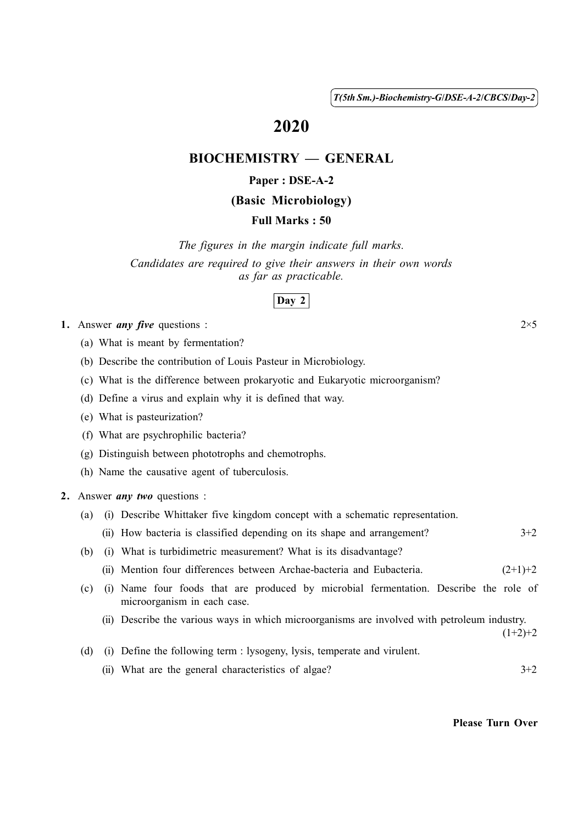( 1 ) *T(5th Sm.)-Biochemistry-G*/*DSE-A-2*/*CBCS*/*Day-2*

# 2020

## BIOCHEMISTRY — GENERAL

#### Paper : DSE-A-2

#### (Basic Microbiology)

#### Full Marks : 50

*The figures in the margin indicate full marks. Candidates are required to give their answers in their own words as far as practicable.*

#### Day 2

1. Answer *any five* questions :  $2 \times 5$ 

- (a) What is meant by fermentation?
- (b) Describe the contribution of Louis Pasteur in Microbiology.
- (c) What is the difference between prokaryotic and Eukaryotic microorganism?
- (d) Define a virus and explain why it is defined that way.
- (e) What is pasteurization?
- (f) What are psychrophilic bacteria?
- (g) Distinguish between phototrophs and chemotrophs.
- (h) Name the causative agent of tuberculosis.
- 2. Answer *any two* questions :
	- (a) (i) Describe Whittaker five kingdom concept with a schematic representation.
		- (ii) How bacteria is classified depending on its shape and arrangement?  $3+2$
	- (b) (i) What is turbidimetric measurement? What is its disadvantage?
		- (ii) Mention four differences between Archae-bacteria and Eubacteria.  $(2+1)+2$
	- (c) (i) Name four foods that are produced by microbial fermentation. Describe the role of microorganism in each case.

|  |  | (ii) Describe the various ways in which microorganisms are involved with petroleum industry. |  |  |           |  |
|--|--|----------------------------------------------------------------------------------------------|--|--|-----------|--|
|  |  |                                                                                              |  |  | $(1+2)+2$ |  |

(d) (i) Define the following term : lysogeny, lysis, temperate and virulent. (ii) What are the general characteristics of algae?  $3+2$ 

Please Turn Over